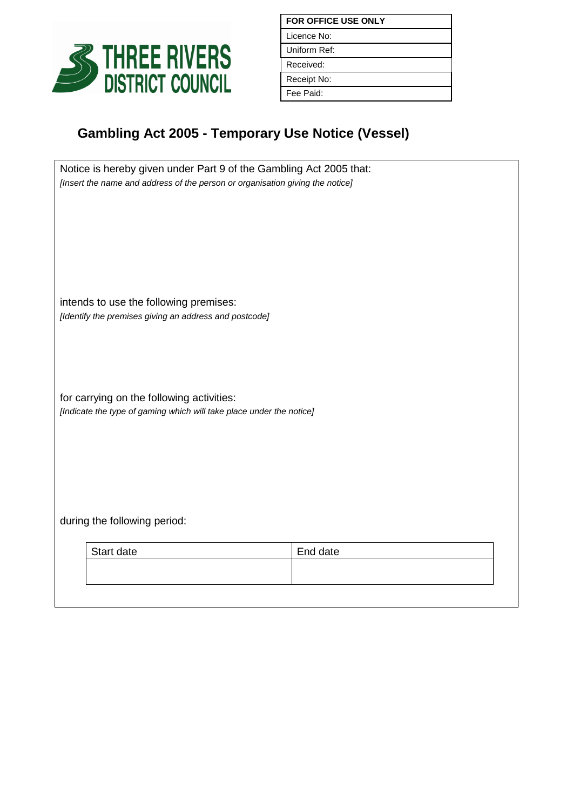

| <b>FOR OFFICE USE ONLY</b> |  |
|----------------------------|--|
| Licence No:                |  |
| Uniform Ref:               |  |
| Received:                  |  |
| Receipt No:                |  |
| Fee Paid:                  |  |

## **Gambling Act 2005 - Temporary Use Notice (Vessel)**

| Notice is hereby given under Part 9 of the Gambling Act 2005 that:<br>[Insert the name and address of the person or organisation giving the notice] |          |  |  |
|-----------------------------------------------------------------------------------------------------------------------------------------------------|----------|--|--|
|                                                                                                                                                     |          |  |  |
|                                                                                                                                                     |          |  |  |
|                                                                                                                                                     |          |  |  |
| intends to use the following premises:                                                                                                              |          |  |  |
| [Identify the premises giving an address and postcode]                                                                                              |          |  |  |
|                                                                                                                                                     |          |  |  |
| for carrying on the following activities:                                                                                                           |          |  |  |
| [Indicate the type of gaming which will take place under the notice]                                                                                |          |  |  |
|                                                                                                                                                     |          |  |  |
|                                                                                                                                                     |          |  |  |
| during the following period:                                                                                                                        |          |  |  |
|                                                                                                                                                     |          |  |  |
| Start date                                                                                                                                          | End date |  |  |
|                                                                                                                                                     |          |  |  |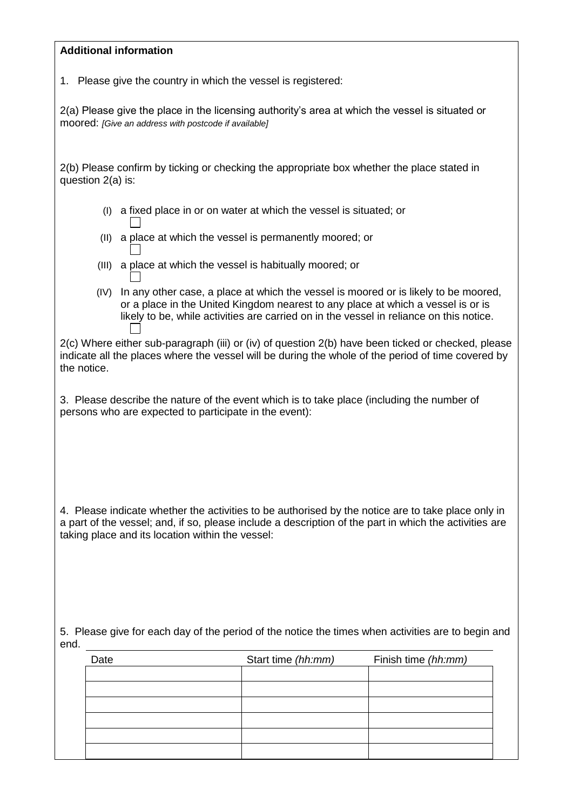| <b>Additional information</b> |  |
|-------------------------------|--|
|-------------------------------|--|

1. Please give the country in which the vessel is registered:

2(a) Please give the place in the licensing authority's area at which the vessel is situated or moored: *[Give an address with postcode if available]*

2(b) Please confirm by ticking or checking the appropriate box whether the place stated in question 2(a) is:

- (I) a fixed place in or on water at which the vessel is situated; or  $\perp$
- (II) a place at which the vessel is permanently moored; or
- (III) a place at which the vessel is habitually moored; or
- (IV) In any other case, a place at which the vessel is moored or is likely to be moored, or a place in the United Kingdom nearest to any place at which a vessel is or is likely to be, while activities are carried on in the vessel in reliance on this notice.

2(c) Where either sub-paragraph (iii) or (iv) of question 2(b) have been ticked or checked, please indicate all the places where the vessel will be during the whole of the period of time covered by the notice.

3. Please describe the nature of the event which is to take place (including the number of persons who are expected to participate in the event):

4. Please indicate whether the activities to be authorised by the notice are to take place only in a part of the vessel; and, if so, please include a description of the part in which the activities are taking place and its location within the vessel:

5. Please give for each day of the period of the notice the times when activities are to begin and end.

| Date | Start time (hh:mm) |  | Finish time (hh:mm) |  |
|------|--------------------|--|---------------------|--|
|      |                    |  |                     |  |
|      |                    |  |                     |  |
|      |                    |  |                     |  |
|      |                    |  |                     |  |
|      |                    |  |                     |  |
|      |                    |  |                     |  |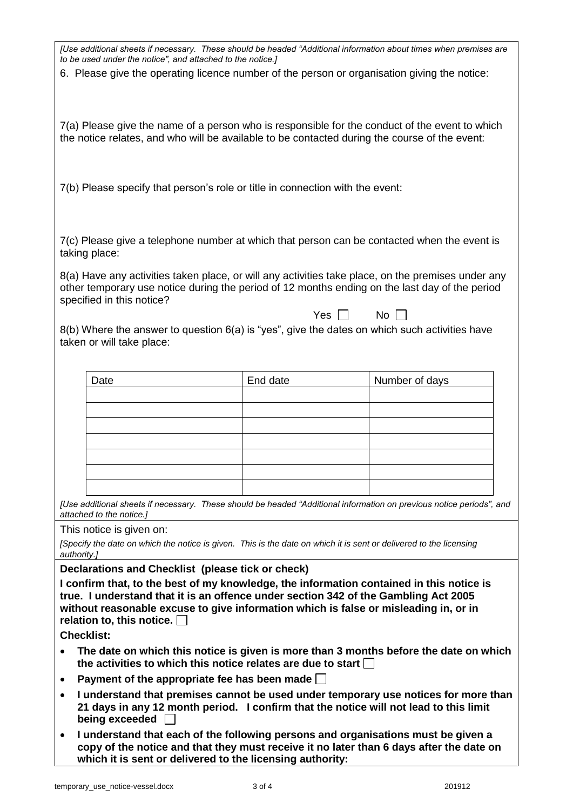| to be used under the notice", and attached to the notice.]                                                                                                                  |            | [Use additional sheets if necessary. These should be headed "Additional information about times when premises are    |  |  |
|-----------------------------------------------------------------------------------------------------------------------------------------------------------------------------|------------|----------------------------------------------------------------------------------------------------------------------|--|--|
| 6. Please give the operating licence number of the person or organisation giving the notice:                                                                                |            |                                                                                                                      |  |  |
|                                                                                                                                                                             |            |                                                                                                                      |  |  |
|                                                                                                                                                                             |            | 7(a) Please give the name of a person who is responsible for the conduct of the event to which                       |  |  |
| the notice relates, and who will be available to be contacted during the course of the event:                                                                               |            |                                                                                                                      |  |  |
|                                                                                                                                                                             |            |                                                                                                                      |  |  |
| 7(b) Please specify that person's role or title in connection with the event:                                                                                               |            |                                                                                                                      |  |  |
|                                                                                                                                                                             |            |                                                                                                                      |  |  |
| taking place:                                                                                                                                                               |            | 7(c) Please give a telephone number at which that person can be contacted when the event is                          |  |  |
|                                                                                                                                                                             |            | 8(a) Have any activities taken place, or will any activities take place, on the premises under any                   |  |  |
| specified in this notice?                                                                                                                                                   |            | other temporary use notice during the period of 12 months ending on the last day of the period                       |  |  |
| $8(b)$ Where the answer to question $6(a)$ is "yes", give the dates on which such activities have                                                                           | Yes $\Box$ | $No$ $\Box$                                                                                                          |  |  |
| taken or will take place:                                                                                                                                                   |            |                                                                                                                      |  |  |
| Date                                                                                                                                                                        | End date   | Number of days                                                                                                       |  |  |
|                                                                                                                                                                             |            |                                                                                                                      |  |  |
|                                                                                                                                                                             |            |                                                                                                                      |  |  |
|                                                                                                                                                                             |            |                                                                                                                      |  |  |
|                                                                                                                                                                             |            |                                                                                                                      |  |  |
|                                                                                                                                                                             |            |                                                                                                                      |  |  |
| attached to the notice.]                                                                                                                                                    |            | [Use additional sheets if necessary. These should be headed "Additional information on previous notice periods", and |  |  |
| This notice is given on:                                                                                                                                                    |            |                                                                                                                      |  |  |
| [Specify the date on which the notice is given. This is the date on which it is sent or delivered to the licensing<br>authority.]                                           |            |                                                                                                                      |  |  |
| Declarations and Checklist (please tick or check)<br>I confirm that, to the best of my knowledge, the information contained in this notice is                               |            |                                                                                                                      |  |  |
| true. I understand that it is an offence under section 342 of the Gambling Act 2005<br>without reasonable excuse to give information which is false or misleading in, or in |            |                                                                                                                      |  |  |
| relation to, this notice. [                                                                                                                                                 |            |                                                                                                                      |  |  |
| <b>Checklist:</b>                                                                                                                                                           |            | The date on which this notice is given is more than 3 months before the date on which                                |  |  |
| the activities to which this notice relates are due to start                                                                                                                |            |                                                                                                                      |  |  |
| Payment of the appropriate fee has been made $\Box$<br>٠                                                                                                                    |            | I understand that premises cannot be used under temporary use notices for more than                                  |  |  |
| being exceeded                                                                                                                                                              |            | 21 days in any 12 month period. I confirm that the notice will not lead to this limit                                |  |  |
| $\bullet$                                                                                                                                                                   |            | I understand that each of the following persons and organisations must be given a                                    |  |  |
| copy of the notice and that they must receive it no later than 6 days after the date on<br>which it is sent or delivered to the licensing authority:                        |            |                                                                                                                      |  |  |